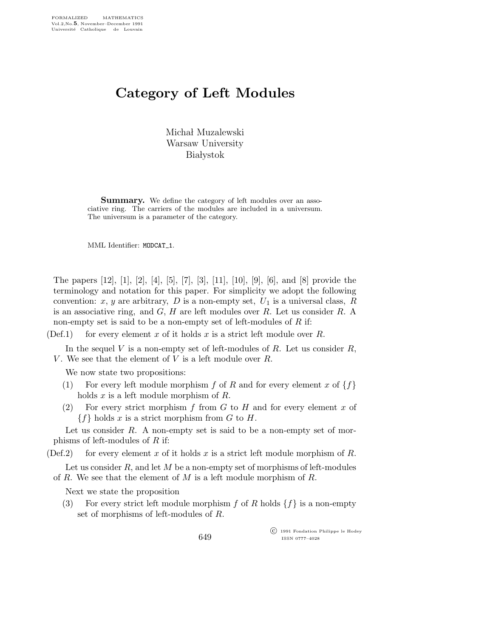## Category of Left Modules

Michał Muzalewski Warsaw University **Białystok** 

Summary. We define the category of left modules over an associative ring. The carriers of the modules are included in a universum. The universum is a parameter of the category.

MML Identifier: MODCAT<sub>-1</sub>.

The papers [12], [1], [2], [4], [5], [7], [3], [11], [10], [9], [6], and [8] provide the terminology and notation for this paper. For simplicity we adopt the following convention: x, y are arbitrary, D is a non-empty set,  $U_1$  is a universal class, R is an associative ring, and  $G, H$  are left modules over  $R$ . Let us consider  $R$ . A non-empty set is said to be a non-empty set of left-modules of  $R$  if:

(Def.1) for every element x of it holds x is a strict left module over R.

In the sequel V is a non-empty set of left-modules of R. Let us consider  $R$ , V. We see that the element of V is a left module over  $R$ .

We now state two propositions:

- (1) For every left module morphism f of R and for every element x of  $\{f\}$ holds x is a left module morphism of R.
- (2) For every strict morphism  $f$  from  $G$  to  $H$  and for every element  $x$  of  ${f}$  holds x is a strict morphism from G to H.

Let us consider  $R$ . A non-empty set is said to be a non-empty set of morphisms of left-modules of  $R$  if:

(Def.2) for every element x of it holds x is a strict left module morphism of R.

Let us consider R, and let M be a non-empty set of morphisms of left-modules of R. We see that the element of  $M$  is a left module morphism of  $R$ .

Next we state the proposition

(3) For every strict left module morphism f of R holds  $\{f\}$  is a non-empty set of morphisms of left-modules of R.

> c 1991 Fondation Philippe le Hodey ISSN 0777–4028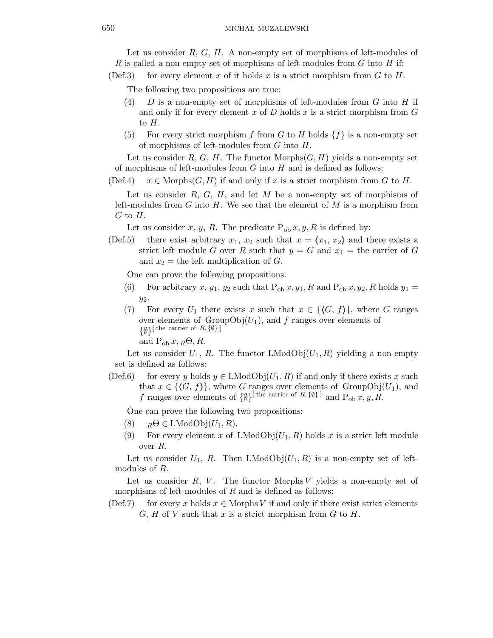Let us consider  $R, G, H$ . A non-empty set of morphisms of left-modules of R is called a non-empty set of morphisms of left-modules from  $G$  into  $H$  if:

(Def.3) for every element x of it holds x is a strict morphism from G to H.

The following two propositions are true:

- (4)  $D$  is a non-empty set of morphisms of left-modules from G into H if and only if for every element x of D holds x is a strict morphism from  $G$ to  $H$ .
- (5) For every strict morphism f from G to H holds  $\{f\}$  is a non-empty set of morphisms of left-modules from  $G$  into  $H$ .

Let us consider R, G, H. The functor Morphs $(G, H)$  yields a non-empty set of morphisms of left-modules from  $G$  into  $H$  and is defined as follows:

(Def.4)  $x \in \text{Morphs}(G, H)$  if and only if x is a strict morphism from G to H.

Let us consider  $R, G, H$ , and let  $M$  be a non-empty set of morphisms of left-modules from G into H. We see that the element of M is a morphism from  $G$  to  $H$ .

Let us consider x, y, R. The predicate  $P_{ob} x, y, R$  is defined by:

(Def.5) there exist arbitrary  $x_1, x_2$  such that  $x = \langle x_1, x_2 \rangle$  and there exists a strict left module G over R such that  $y = G$  and  $x_1 =$  the carrier of G and  $x_2$  = the left multiplication of G.

One can prove the following propositions:

- (6) For arbitrary x,  $y_1$ ,  $y_2$  such that  $P_{ob} x, y_1, R$  and  $P_{ob} x, y_2, R$  holds  $y_1 =$  $y_2$ .
- (7) For every  $U_1$  there exists x such that  $x \in \{ \langle G, f \rangle \}$ , where G ranges over elements of  $GroupObj(U_1)$ , and f ranges over elements of  $\{\emptyset\}$ <sup>[the carrier of R,  $\{\emptyset\}$ ]</sup> and  $P_{ob} x, R\Theta, R$ .

Let us consider  $U_1$ , R. The functor LModObj $(U_1, R)$  yielding a non-empty set is defined as follows:

(Def.6) for every y holds  $y \in$  LModObj $(U_1, R)$  if and only if there exists x such that  $x \in \{G, f\}$ , where G ranges over elements of GroupObj $(U_1)$ , and f ranges over elements of  $\{\emptyset\}^{\{\text{the carrier of } R, \{\emptyset\}\}}$  and  $P_{\text{oh}} x, y, R$ .

One can prove the following two propositions:

- (8)  $R\Theta \in \text{LModObj}(U_1, R)$ .
- (9) For every element x of LModObj $(U_1, R)$  holds x is a strict left module over R.

Let us consider  $U_1$ , R. Then LModObj $(U_1, R)$  is a non-empty set of leftmodules of R.

Let us consider  $R$ ,  $V$ . The functor Morphs V yields a non-empty set of morphisms of left-modules of  $R$  and is defined as follows:

(Def.7) for every x holds  $x \in \text{Morphs } V$  if and only if there exist strict elements  $G, H$  of V such that x is a strict morphism from G to H.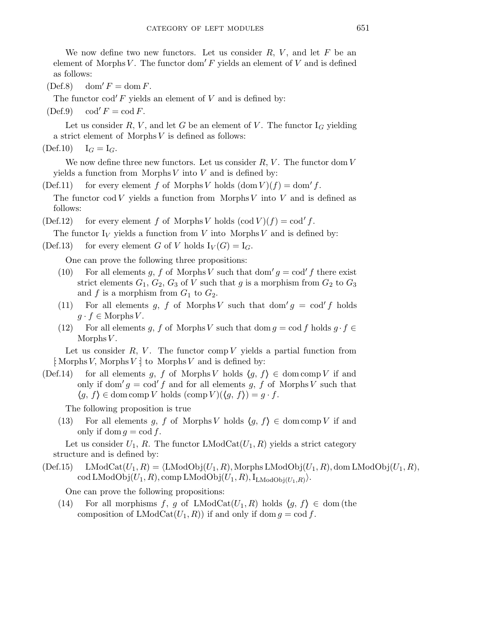We now define two new functors. Let us consider  $R, V$ , and let  $F$  be an element of Morphs V. The functor dom'  $F$  yields an element of V and is defined as follows:

 $(Def.8)$  dom'  $F = \text{dom } F$ .

The functor  $\text{cod}' F$  yields an element of V and is defined by:

 $(Def.9) \qquad \text{cod'} F = \text{cod } F.$ 

Let us consider R, V, and let G be an element of V. The functor  $I_G$  yielding a strict element of Morphs  $V$  is defined as follows:

 $(\text{Def.10}) \quad I_G = I_G.$ 

We now define three new functors. Let us consider  $R, V$ . The functor dom  $V$ yields a function from Morphs  $V$  into  $V$  and is defined by:

(Def.11) for every element f of Morphs V holds  $(\text{dom } V)(f) = \text{dom}' f$ . The functor cod V yields a function from Morphs V into V and is defined as follows:

(Def.12) for every element f of Morphs V holds  $(\text{cod } V)(f) = \text{cod } f$ .

The functor  $I_V$  yields a function from V into Morphs V and is defined by:

(Def.13) for every element G of V holds  $I_V(G) = I_G$ .

One can prove the following three propositions:

- (10) For all elements g, f of Morphs V such that dom'  $g = \text{cod}' f$  there exist strict elements  $G_1, G_2, G_3$  of V such that g is a morphism from  $G_2$  to  $G_3$ and f is a morphism from  $G_1$  to  $G_2$ .
- (11) For all elements g, f of Morphs V such that dom'  $g = \text{cod } f$  holds  $g \cdot f \in \text{Morphs } V.$
- (12) For all elements g, f of Morphs V such that dom  $g = \text{cod } f$  holds  $g \cdot f \in$ Morphs  $V$ .

Let us consider  $R, V$ . The functor comp V yields a partial function from  $\colon \text{Morphs } V$ , Morphs  $V : \text{to Morphs } V$  and is defined by:

(Def.14) for all elements g, f of Morphs V holds  $\langle g, f \rangle \in \text{dom comp } V$  if and only if dom'  $g = \text{cod}' f$  and for all elements g, f of Morphs V such that  $\langle g, f \rangle \in \text{dom comp } V \text{ holds } (\text{comp } V) (\langle g, f \rangle) = g \cdot f.$ 

The following proposition is true

(13) For all elements g, f of Morphs V holds  $\langle g, f \rangle \in \text{dom comp } V$  if and only if dom  $g = \text{cod } f$ .

Let us consider  $U_1$ , R. The functor LModCat $(U_1, R)$  yields a strict category structure and is defined by:

 $(Def.15)$  LMod $Cat(U_1,R) = \langle LModObj(U_1,R), Morphs LModObj(U_1,R), dom LModObj(U_1,R),$  $\operatorname{cod}\operatorname{LModObj}(U_1,R), \operatorname{comp}\operatorname{LModObj}(U_1,R), \operatorname{I_{LModObj}(U_1,R)}).$ 

One can prove the following propositions:

(14) For all morphisms f, g of LModCat $(U_1, R)$  holds  $\{q, f\} \in \text{dom (the)}$ composition of  $LModCat(U_1, R)$  if and only if dom  $g = cod f$ .